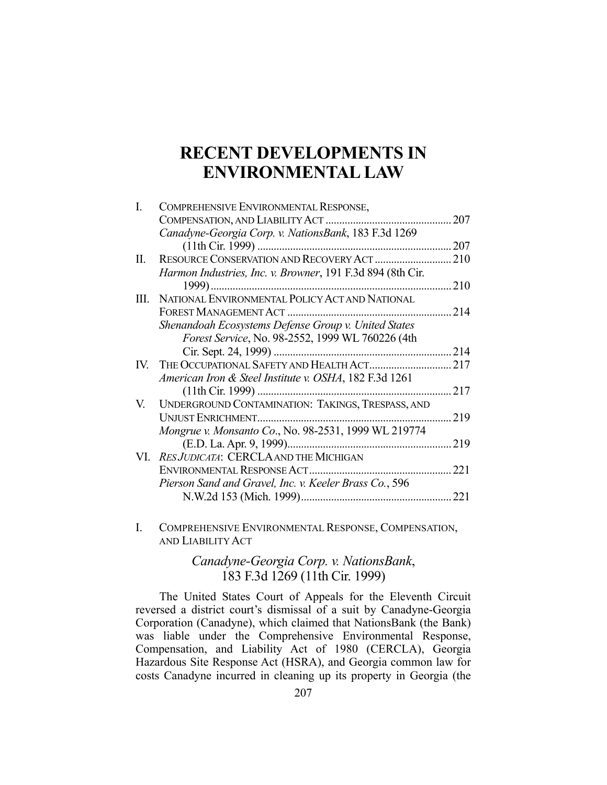# **RECENT DEVELOPMENTS IN ENVIRONMENTAL LAW**

| L    | COMPREHENSIVE ENVIRONMENTAL RESPONSE,                      |      |
|------|------------------------------------------------------------|------|
|      | COMPENSATION, AND LIABILITY ACT                            | 207  |
|      | Canadyne-Georgia Corp. v. NationsBank, 183 F.3d 1269       |      |
|      | $(11th$ Cir. 1999)                                         | 207  |
| П.   |                                                            |      |
|      | Harmon Industries, Inc. v. Browner, 191 F.3d 894 (8th Cir. |      |
|      |                                                            | .210 |
| III. | NATIONAL ENVIRONMENTAL POLICY ACT AND NATIONAL             |      |
|      |                                                            |      |
|      | Shenandoah Ecosystems Defense Group v. United States       |      |
|      | Forest Service, No. 98-2552, 1999 WL 760226 (4th           |      |
|      | Cir. Sept. 24, 1999)                                       | 214  |
| IV.  |                                                            | 217  |
|      | American Iron & Steel Institute v. OSHA, 182 F.3d 1261     |      |
|      | (11th Cir. 1999)                                           | 217  |
| V.   | UNDERGROUND CONTAMINATION: TAKINGS, TRESPASS, AND          |      |
|      | <b>UNJUST ENRICHMENT</b>                                   | 219  |
|      | Mongrue v. Monsanto Co., No. 98-2531, 1999 WL 219774       |      |
|      | (E.D. La. Apr. 9, 1999)                                    | 219  |
|      | VI. RES JUDICATA: CERCLA AND THE MICHIGAN                  |      |
|      |                                                            | 221  |
|      | Pierson Sand and Gravel, Inc. v. Keeler Brass Co., 596     |      |
|      |                                                            | 221  |
|      |                                                            |      |

I. COMPREHENSIVE ENVIRONMENTAL RESPONSE, COMPENSATION, AND LIABILITY ACT

# *Canadyne-Georgia Corp. v. NationsBank*, 183 F.3d 1269 (11th Cir. 1999)

 The United States Court of Appeals for the Eleventh Circuit reversed a district court's dismissal of a suit by Canadyne-Georgia Corporation (Canadyne), which claimed that NationsBank (the Bank) was liable under the Comprehensive Environmental Response, Compensation, and Liability Act of 1980 (CERCLA), Georgia Hazardous Site Response Act (HSRA), and Georgia common law for costs Canadyne incurred in cleaning up its property in Georgia (the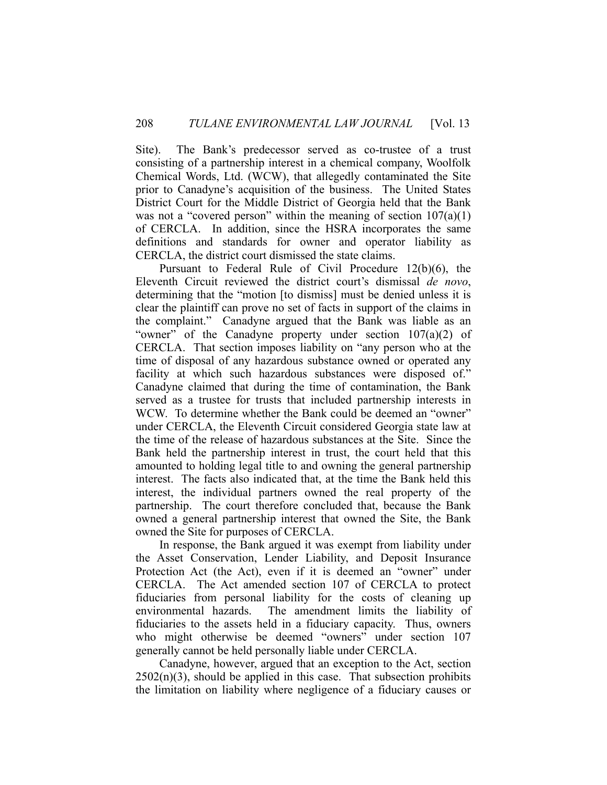Site). The Bank's predecessor served as co-trustee of a trust consisting of a partnership interest in a chemical company, Woolfolk Chemical Words, Ltd. (WCW), that allegedly contaminated the Site prior to Canadyne's acquisition of the business. The United States District Court for the Middle District of Georgia held that the Bank was not a "covered person" within the meaning of section  $107(a)(1)$ of CERCLA. In addition, since the HSRA incorporates the same definitions and standards for owner and operator liability as CERCLA, the district court dismissed the state claims.

 Pursuant to Federal Rule of Civil Procedure 12(b)(6), the Eleventh Circuit reviewed the district court's dismissal *de novo*, determining that the "motion [to dismiss] must be denied unless it is clear the plaintiff can prove no set of facts in support of the claims in the complaint." Canadyne argued that the Bank was liable as an "owner" of the Canadyne property under section 107(a)(2) of CERCLA. That section imposes liability on "any person who at the time of disposal of any hazardous substance owned or operated any facility at which such hazardous substances were disposed of." Canadyne claimed that during the time of contamination, the Bank served as a trustee for trusts that included partnership interests in WCW. To determine whether the Bank could be deemed an "owner" under CERCLA, the Eleventh Circuit considered Georgia state law at the time of the release of hazardous substances at the Site. Since the Bank held the partnership interest in trust, the court held that this amounted to holding legal title to and owning the general partnership interest. The facts also indicated that, at the time the Bank held this interest, the individual partners owned the real property of the partnership. The court therefore concluded that, because the Bank owned a general partnership interest that owned the Site, the Bank owned the Site for purposes of CERCLA.

 In response, the Bank argued it was exempt from liability under the Asset Conservation, Lender Liability, and Deposit Insurance Protection Act (the Act), even if it is deemed an "owner" under CERCLA. The Act amended section 107 of CERCLA to protect fiduciaries from personal liability for the costs of cleaning up environmental hazards. The amendment limits the liability of fiduciaries to the assets held in a fiduciary capacity. Thus, owners who might otherwise be deemed "owners" under section 107 generally cannot be held personally liable under CERCLA.

 Canadyne, however, argued that an exception to the Act, section  $2502(n)(3)$ , should be applied in this case. That subsection prohibits the limitation on liability where negligence of a fiduciary causes or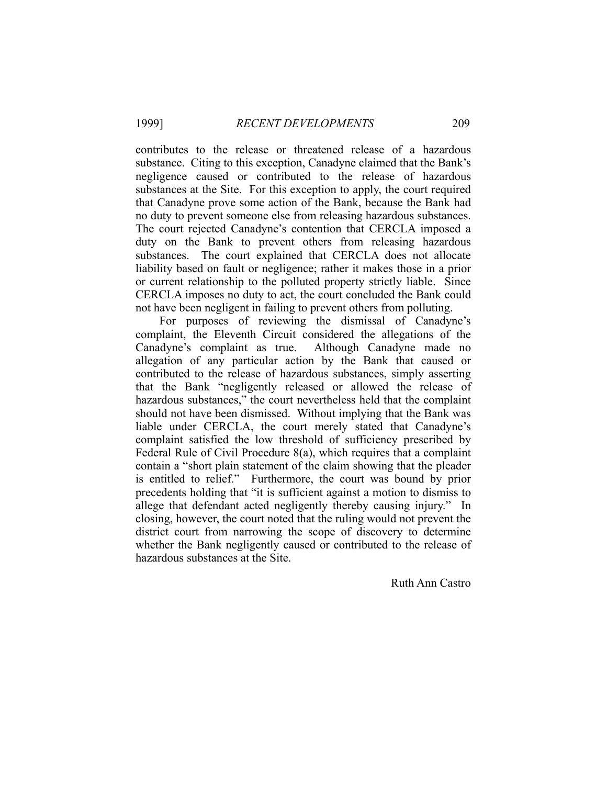contributes to the release or threatened release of a hazardous substance. Citing to this exception, Canadyne claimed that the Bank's negligence caused or contributed to the release of hazardous substances at the Site. For this exception to apply, the court required that Canadyne prove some action of the Bank, because the Bank had no duty to prevent someone else from releasing hazardous substances. The court rejected Canadyne's contention that CERCLA imposed a duty on the Bank to prevent others from releasing hazardous substances. The court explained that CERCLA does not allocate liability based on fault or negligence; rather it makes those in a prior or current relationship to the polluted property strictly liable. Since CERCLA imposes no duty to act, the court concluded the Bank could not have been negligent in failing to prevent others from polluting.

 For purposes of reviewing the dismissal of Canadyne's complaint, the Eleventh Circuit considered the allegations of the Canadyne's complaint as true. Although Canadyne made no allegation of any particular action by the Bank that caused or contributed to the release of hazardous substances, simply asserting that the Bank "negligently released or allowed the release of hazardous substances," the court nevertheless held that the complaint should not have been dismissed. Without implying that the Bank was liable under CERCLA, the court merely stated that Canadyne's complaint satisfied the low threshold of sufficiency prescribed by Federal Rule of Civil Procedure 8(a), which requires that a complaint contain a "short plain statement of the claim showing that the pleader is entitled to relief." Furthermore, the court was bound by prior precedents holding that "it is sufficient against a motion to dismiss to allege that defendant acted negligently thereby causing injury." In closing, however, the court noted that the ruling would not prevent the district court from narrowing the scope of discovery to determine whether the Bank negligently caused or contributed to the release of hazardous substances at the Site.

Ruth Ann Castro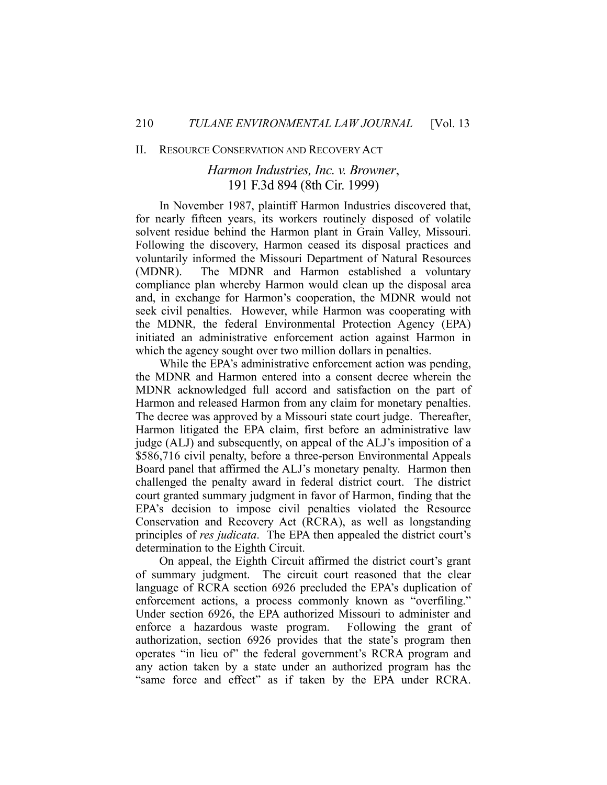#### II. RESOURCE CONSERVATION AND RECOVERY ACT

## *Harmon Industries, Inc. v. Browner*, 191 F.3d 894 (8th Cir. 1999)

 In November 1987, plaintiff Harmon Industries discovered that, for nearly fifteen years, its workers routinely disposed of volatile solvent residue behind the Harmon plant in Grain Valley, Missouri. Following the discovery, Harmon ceased its disposal practices and voluntarily informed the Missouri Department of Natural Resources (MDNR). The MDNR and Harmon established a voluntary compliance plan whereby Harmon would clean up the disposal area and, in exchange for Harmon's cooperation, the MDNR would not seek civil penalties. However, while Harmon was cooperating with the MDNR, the federal Environmental Protection Agency (EPA) initiated an administrative enforcement action against Harmon in which the agency sought over two million dollars in penalties.

 While the EPA's administrative enforcement action was pending, the MDNR and Harmon entered into a consent decree wherein the MDNR acknowledged full accord and satisfaction on the part of Harmon and released Harmon from any claim for monetary penalties. The decree was approved by a Missouri state court judge. Thereafter, Harmon litigated the EPA claim, first before an administrative law judge (ALJ) and subsequently, on appeal of the ALJ's imposition of a \$586,716 civil penalty, before a three-person Environmental Appeals Board panel that affirmed the ALJ's monetary penalty. Harmon then challenged the penalty award in federal district court. The district court granted summary judgment in favor of Harmon, finding that the EPA's decision to impose civil penalties violated the Resource Conservation and Recovery Act (RCRA), as well as longstanding principles of *res judicata*. The EPA then appealed the district court's determination to the Eighth Circuit.

 On appeal, the Eighth Circuit affirmed the district court's grant of summary judgment. The circuit court reasoned that the clear language of RCRA section 6926 precluded the EPA's duplication of enforcement actions, a process commonly known as "overfiling." Under section 6926, the EPA authorized Missouri to administer and enforce a hazardous waste program. Following the grant of authorization, section 6926 provides that the state's program then operates "in lieu of" the federal government's RCRA program and any action taken by a state under an authorized program has the "same force and effect" as if taken by the EPA under RCRA.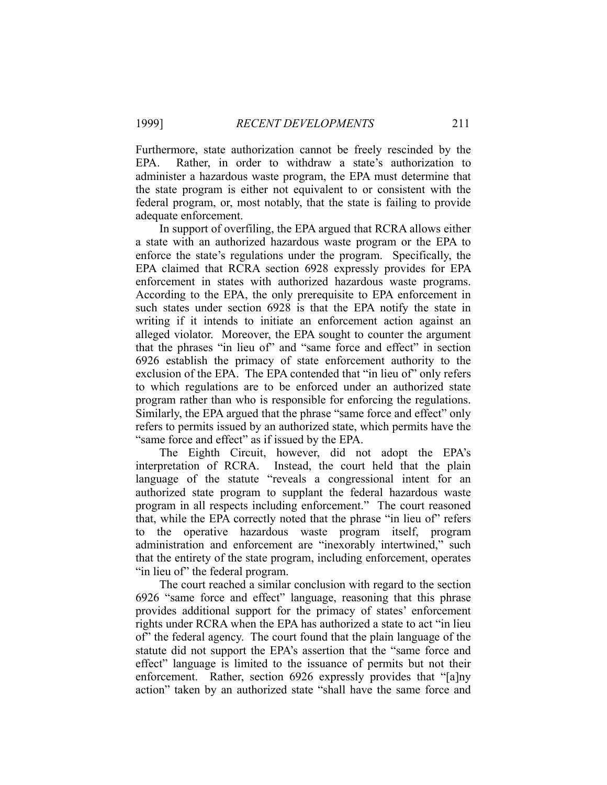Furthermore, state authorization cannot be freely rescinded by the EPA. Rather, in order to withdraw a state's authorization to administer a hazardous waste program, the EPA must determine that the state program is either not equivalent to or consistent with the federal program, or, most notably, that the state is failing to provide adequate enforcement.

 In support of overfiling, the EPA argued that RCRA allows either a state with an authorized hazardous waste program or the EPA to enforce the state's regulations under the program. Specifically, the EPA claimed that RCRA section 6928 expressly provides for EPA enforcement in states with authorized hazardous waste programs. According to the EPA, the only prerequisite to EPA enforcement in such states under section 6928 is that the EPA notify the state in writing if it intends to initiate an enforcement action against an alleged violator. Moreover, the EPA sought to counter the argument that the phrases "in lieu of" and "same force and effect" in section 6926 establish the primacy of state enforcement authority to the exclusion of the EPA. The EPA contended that "in lieu of" only refers to which regulations are to be enforced under an authorized state program rather than who is responsible for enforcing the regulations. Similarly, the EPA argued that the phrase "same force and effect" only refers to permits issued by an authorized state, which permits have the "same force and effect" as if issued by the EPA.

 The Eighth Circuit, however, did not adopt the EPA's interpretation of RCRA. Instead, the court held that the plain language of the statute "reveals a congressional intent for an authorized state program to supplant the federal hazardous waste program in all respects including enforcement." The court reasoned that, while the EPA correctly noted that the phrase "in lieu of" refers to the operative hazardous waste program itself, program administration and enforcement are "inexorably intertwined," such that the entirety of the state program, including enforcement, operates "in lieu of" the federal program.

 The court reached a similar conclusion with regard to the section 6926 "same force and effect" language, reasoning that this phrase provides additional support for the primacy of states' enforcement rights under RCRA when the EPA has authorized a state to act "in lieu of" the federal agency. The court found that the plain language of the statute did not support the EPA's assertion that the "same force and effect" language is limited to the issuance of permits but not their enforcement. Rather, section 6926 expressly provides that "[a]ny action" taken by an authorized state "shall have the same force and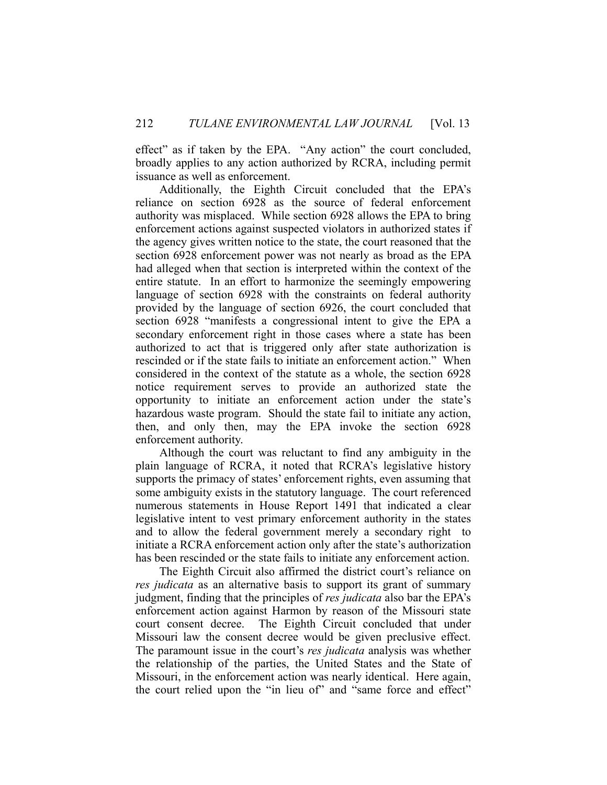effect" as if taken by the EPA. "Any action" the court concluded, broadly applies to any action authorized by RCRA, including permit issuance as well as enforcement.

 Additionally, the Eighth Circuit concluded that the EPA's reliance on section 6928 as the source of federal enforcement authority was misplaced. While section 6928 allows the EPA to bring enforcement actions against suspected violators in authorized states if the agency gives written notice to the state, the court reasoned that the section 6928 enforcement power was not nearly as broad as the EPA had alleged when that section is interpreted within the context of the entire statute. In an effort to harmonize the seemingly empowering language of section 6928 with the constraints on federal authority provided by the language of section 6926, the court concluded that section 6928 "manifests a congressional intent to give the EPA a secondary enforcement right in those cases where a state has been authorized to act that is triggered only after state authorization is rescinded or if the state fails to initiate an enforcement action." When considered in the context of the statute as a whole, the section 6928 notice requirement serves to provide an authorized state the opportunity to initiate an enforcement action under the state's hazardous waste program. Should the state fail to initiate any action, then, and only then, may the EPA invoke the section 6928 enforcement authority.

 Although the court was reluctant to find any ambiguity in the plain language of RCRA, it noted that RCRA's legislative history supports the primacy of states' enforcement rights, even assuming that some ambiguity exists in the statutory language. The court referenced numerous statements in House Report 1491 that indicated a clear legislative intent to vest primary enforcement authority in the states and to allow the federal government merely a secondary right to initiate a RCRA enforcement action only after the state's authorization has been rescinded or the state fails to initiate any enforcement action.

 The Eighth Circuit also affirmed the district court's reliance on *res judicata* as an alternative basis to support its grant of summary judgment, finding that the principles of *res judicata* also bar the EPA's enforcement action against Harmon by reason of the Missouri state court consent decree. The Eighth Circuit concluded that under Missouri law the consent decree would be given preclusive effect. The paramount issue in the court's *res judicata* analysis was whether the relationship of the parties, the United States and the State of Missouri, in the enforcement action was nearly identical. Here again, the court relied upon the "in lieu of" and "same force and effect"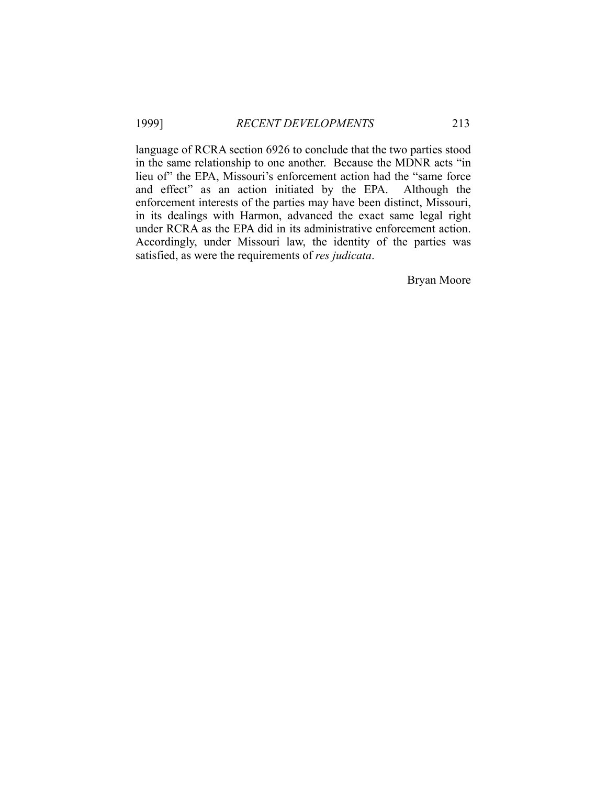language of RCRA section 6926 to conclude that the two parties stood in the same relationship to one another. Because the MDNR acts "in lieu of" the EPA, Missouri's enforcement action had the "same force and effect" as an action initiated by the EPA. Although the enforcement interests of the parties may have been distinct, Missouri, in its dealings with Harmon, advanced the exact same legal right under RCRA as the EPA did in its administrative enforcement action. Accordingly, under Missouri law, the identity of the parties was satisfied, as were the requirements of *res judicata*.

Bryan Moore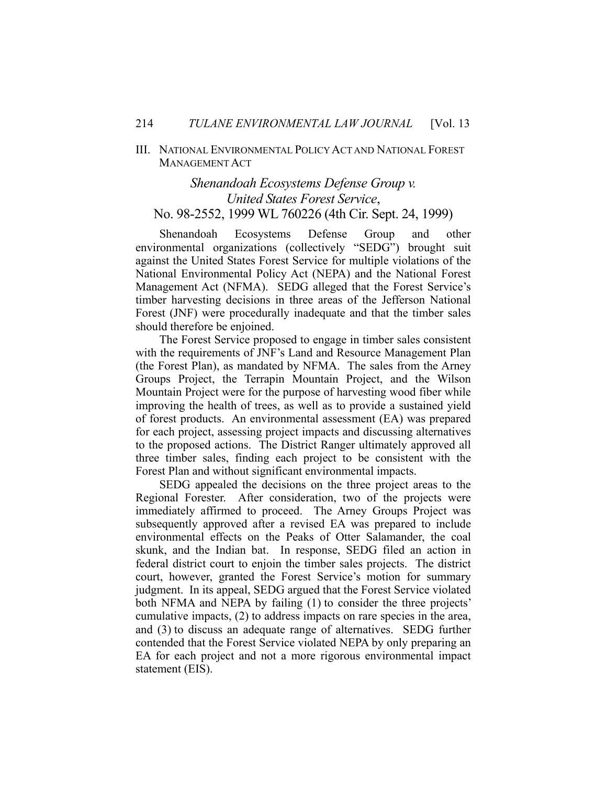### III. NATIONAL ENVIRONMENTAL POLICY ACT AND NATIONAL FOREST MANAGEMENT ACT

### *Shenandoah Ecosystems Defense Group v. United States Forest Service*, No. 98-2552, 1999 WL 760226 (4th Cir. Sept. 24, 1999)

 Shenandoah Ecosystems Defense Group and other environmental organizations (collectively "SEDG") brought suit against the United States Forest Service for multiple violations of the National Environmental Policy Act (NEPA) and the National Forest Management Act (NFMA). SEDG alleged that the Forest Service's timber harvesting decisions in three areas of the Jefferson National Forest (JNF) were procedurally inadequate and that the timber sales should therefore be enjoined.

 The Forest Service proposed to engage in timber sales consistent with the requirements of JNF's Land and Resource Management Plan (the Forest Plan), as mandated by NFMA. The sales from the Arney Groups Project, the Terrapin Mountain Project, and the Wilson Mountain Project were for the purpose of harvesting wood fiber while improving the health of trees, as well as to provide a sustained yield of forest products. An environmental assessment (EA) was prepared for each project, assessing project impacts and discussing alternatives to the proposed actions. The District Ranger ultimately approved all three timber sales, finding each project to be consistent with the Forest Plan and without significant environmental impacts.

 SEDG appealed the decisions on the three project areas to the Regional Forester. After consideration, two of the projects were immediately affirmed to proceed. The Arney Groups Project was subsequently approved after a revised EA was prepared to include environmental effects on the Peaks of Otter Salamander, the coal skunk, and the Indian bat. In response, SEDG filed an action in federal district court to enjoin the timber sales projects. The district court, however, granted the Forest Service's motion for summary judgment. In its appeal, SEDG argued that the Forest Service violated both NFMA and NEPA by failing (1) to consider the three projects' cumulative impacts, (2) to address impacts on rare species in the area, and (3) to discuss an adequate range of alternatives. SEDG further contended that the Forest Service violated NEPA by only preparing an EA for each project and not a more rigorous environmental impact statement (EIS).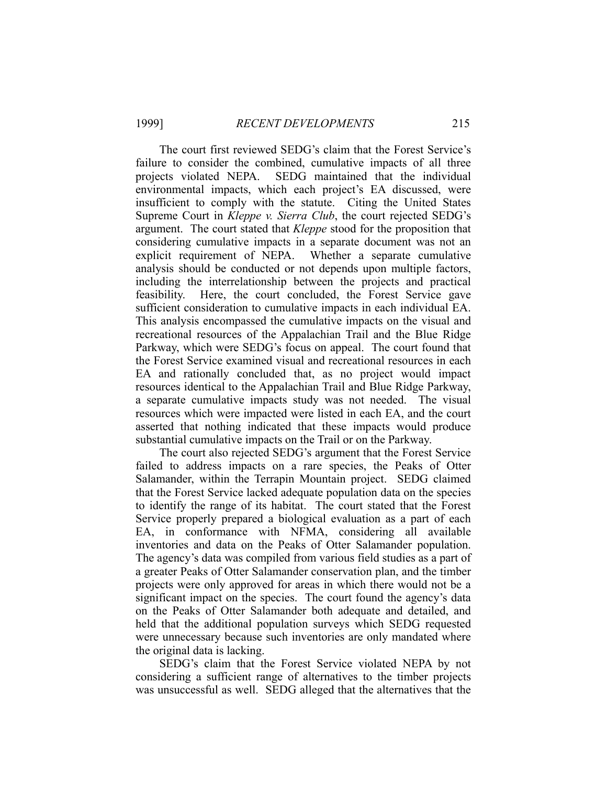The court first reviewed SEDG's claim that the Forest Service's failure to consider the combined, cumulative impacts of all three projects violated NEPA. SEDG maintained that the individual environmental impacts, which each project's EA discussed, were insufficient to comply with the statute. Citing the United States Supreme Court in *Kleppe v. Sierra Club*, the court rejected SEDG's argument. The court stated that *Kleppe* stood for the proposition that considering cumulative impacts in a separate document was not an explicit requirement of NEPA. Whether a separate cumulative analysis should be conducted or not depends upon multiple factors, including the interrelationship between the projects and practical feasibility. Here, the court concluded, the Forest Service gave sufficient consideration to cumulative impacts in each individual EA. This analysis encompassed the cumulative impacts on the visual and recreational resources of the Appalachian Trail and the Blue Ridge Parkway, which were SEDG's focus on appeal. The court found that the Forest Service examined visual and recreational resources in each EA and rationally concluded that, as no project would impact resources identical to the Appalachian Trail and Blue Ridge Parkway, a separate cumulative impacts study was not needed. The visual resources which were impacted were listed in each EA, and the court asserted that nothing indicated that these impacts would produce substantial cumulative impacts on the Trail or on the Parkway.

 The court also rejected SEDG's argument that the Forest Service failed to address impacts on a rare species, the Peaks of Otter Salamander, within the Terrapin Mountain project. SEDG claimed that the Forest Service lacked adequate population data on the species to identify the range of its habitat. The court stated that the Forest Service properly prepared a biological evaluation as a part of each EA, in conformance with NFMA, considering all available inventories and data on the Peaks of Otter Salamander population. The agency's data was compiled from various field studies as a part of a greater Peaks of Otter Salamander conservation plan, and the timber projects were only approved for areas in which there would not be a significant impact on the species. The court found the agency's data on the Peaks of Otter Salamander both adequate and detailed, and held that the additional population surveys which SEDG requested were unnecessary because such inventories are only mandated where the original data is lacking.

 SEDG's claim that the Forest Service violated NEPA by not considering a sufficient range of alternatives to the timber projects was unsuccessful as well. SEDG alleged that the alternatives that the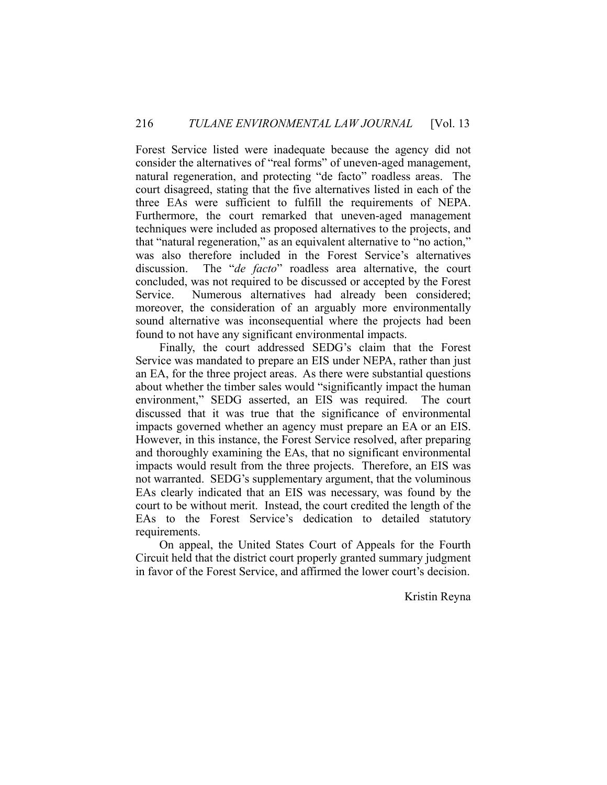Forest Service listed were inadequate because the agency did not consider the alternatives of "real forms" of uneven-aged management, natural regeneration, and protecting "de facto" roadless areas. The court disagreed, stating that the five alternatives listed in each of the three EAs were sufficient to fulfill the requirements of NEPA. Furthermore, the court remarked that uneven-aged management techniques were included as proposed alternatives to the projects, and that "natural regeneration," as an equivalent alternative to "no action," was also therefore included in the Forest Service's alternatives discussion. The "*de facto*" roadless area alternative, the court concluded, was not required to be discussed or accepted by the Forest Service. Numerous alternatives had already been considered; moreover, the consideration of an arguably more environmentally sound alternative was inconsequential where the projects had been found to not have any significant environmental impacts.

 Finally, the court addressed SEDG's claim that the Forest Service was mandated to prepare an EIS under NEPA, rather than just an EA, for the three project areas. As there were substantial questions about whether the timber sales would "significantly impact the human environment," SEDG asserted, an EIS was required. The court discussed that it was true that the significance of environmental impacts governed whether an agency must prepare an EA or an EIS. However, in this instance, the Forest Service resolved, after preparing and thoroughly examining the EAs, that no significant environmental impacts would result from the three projects. Therefore, an EIS was not warranted. SEDG's supplementary argument, that the voluminous EAs clearly indicated that an EIS was necessary, was found by the court to be without merit. Instead, the court credited the length of the EAs to the Forest Service's dedication to detailed statutory requirements.

 On appeal, the United States Court of Appeals for the Fourth Circuit held that the district court properly granted summary judgment in favor of the Forest Service, and affirmed the lower court's decision.

Kristin Reyna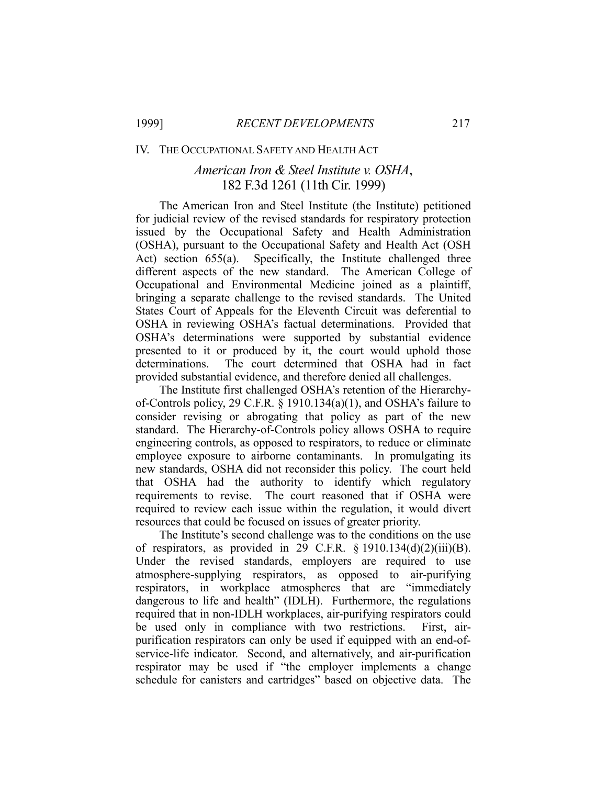#### IV. THE OCCUPATIONAL SAFETY AND HEALTH ACT

# *American Iron & Steel Institute v. OSHA*, 182 F.3d 1261 (11th Cir. 1999)

 The American Iron and Steel Institute (the Institute) petitioned for judicial review of the revised standards for respiratory protection issued by the Occupational Safety and Health Administration (OSHA), pursuant to the Occupational Safety and Health Act (OSH Act) section 655(a). Specifically, the Institute challenged three different aspects of the new standard. The American College of Occupational and Environmental Medicine joined as a plaintiff, bringing a separate challenge to the revised standards. The United States Court of Appeals for the Eleventh Circuit was deferential to OSHA in reviewing OSHA's factual determinations. Provided that OSHA's determinations were supported by substantial evidence presented to it or produced by it, the court would uphold those determinations. The court determined that OSHA had in fact provided substantial evidence, and therefore denied all challenges.

 The Institute first challenged OSHA's retention of the Hierarchyof-Controls policy, 29 C.F.R. § 1910.134(a)(1), and OSHA's failure to consider revising or abrogating that policy as part of the new standard. The Hierarchy-of-Controls policy allows OSHA to require engineering controls, as opposed to respirators, to reduce or eliminate employee exposure to airborne contaminants. In promulgating its new standards, OSHA did not reconsider this policy. The court held that OSHA had the authority to identify which regulatory requirements to revise. The court reasoned that if OSHA were required to review each issue within the regulation, it would divert resources that could be focused on issues of greater priority.

 The Institute's second challenge was to the conditions on the use of respirators, as provided in 29 C.F.R. § 1910.134(d)(2)(iii)(B). Under the revised standards, employers are required to use atmosphere-supplying respirators, as opposed to air-purifying respirators, in workplace atmospheres that are "immediately dangerous to life and health" (IDLH). Furthermore, the regulations required that in non-IDLH workplaces, air-purifying respirators could be used only in compliance with two restrictions. First, airpurification respirators can only be used if equipped with an end-ofservice-life indicator. Second, and alternatively, and air-purification respirator may be used if "the employer implements a change schedule for canisters and cartridges" based on objective data. The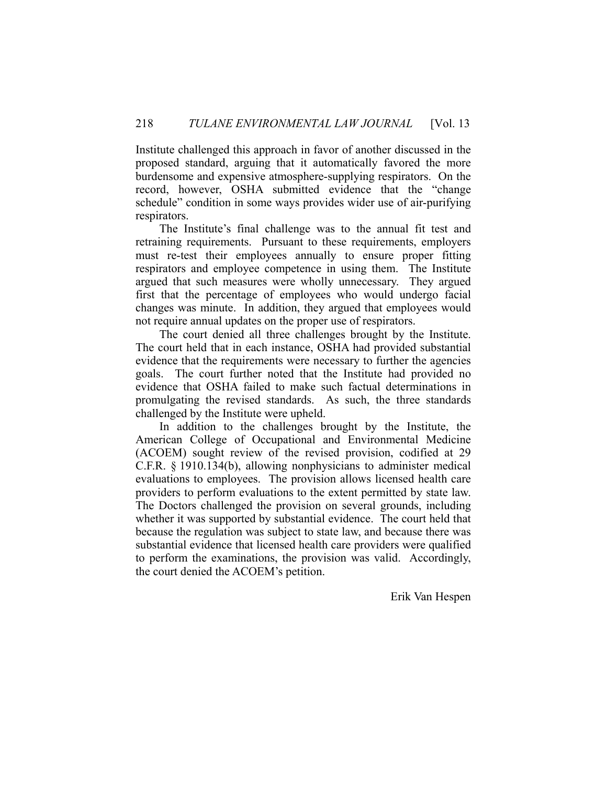Institute challenged this approach in favor of another discussed in the proposed standard, arguing that it automatically favored the more burdensome and expensive atmosphere-supplying respirators. On the record, however, OSHA submitted evidence that the "change schedule" condition in some ways provides wider use of air-purifying respirators.

 The Institute's final challenge was to the annual fit test and retraining requirements. Pursuant to these requirements, employers must re-test their employees annually to ensure proper fitting respirators and employee competence in using them. The Institute argued that such measures were wholly unnecessary. They argued first that the percentage of employees who would undergo facial changes was minute. In addition, they argued that employees would not require annual updates on the proper use of respirators.

 The court denied all three challenges brought by the Institute. The court held that in each instance, OSHA had provided substantial evidence that the requirements were necessary to further the agencies goals. The court further noted that the Institute had provided no evidence that OSHA failed to make such factual determinations in promulgating the revised standards. As such, the three standards challenged by the Institute were upheld.

 In addition to the challenges brought by the Institute, the American College of Occupational and Environmental Medicine (ACOEM) sought review of the revised provision, codified at 29 C.F.R. § 1910.134(b), allowing nonphysicians to administer medical evaluations to employees. The provision allows licensed health care providers to perform evaluations to the extent permitted by state law. The Doctors challenged the provision on several grounds, including whether it was supported by substantial evidence. The court held that because the regulation was subject to state law, and because there was substantial evidence that licensed health care providers were qualified to perform the examinations, the provision was valid. Accordingly, the court denied the ACOEM's petition.

Erik Van Hespen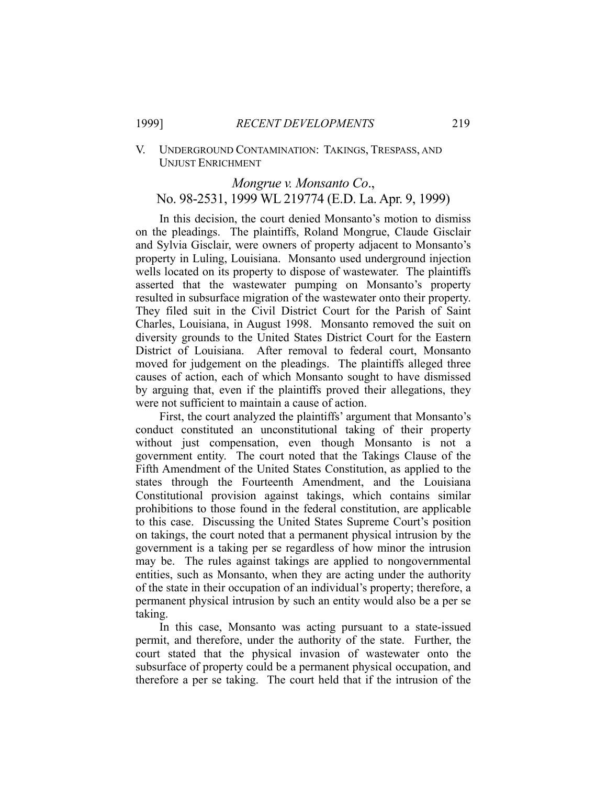### V. UNDERGROUND CONTAMINATION: TAKINGS, TRESPASS, AND UNJUST ENRICHMENT

### *Mongrue v. Monsanto Co*., No. 98-2531, 1999 WL 219774 (E.D. La. Apr. 9, 1999)

 In this decision, the court denied Monsanto's motion to dismiss on the pleadings. The plaintiffs, Roland Mongrue, Claude Gisclair and Sylvia Gisclair, were owners of property adjacent to Monsanto's property in Luling, Louisiana. Monsanto used underground injection wells located on its property to dispose of wastewater. The plaintiffs asserted that the wastewater pumping on Monsanto's property resulted in subsurface migration of the wastewater onto their property. They filed suit in the Civil District Court for the Parish of Saint Charles, Louisiana, in August 1998. Monsanto removed the suit on diversity grounds to the United States District Court for the Eastern District of Louisiana. After removal to federal court, Monsanto moved for judgement on the pleadings. The plaintiffs alleged three causes of action, each of which Monsanto sought to have dismissed by arguing that, even if the plaintiffs proved their allegations, they were not sufficient to maintain a cause of action.

 First, the court analyzed the plaintiffs' argument that Monsanto's conduct constituted an unconstitutional taking of their property without just compensation, even though Monsanto is not a government entity. The court noted that the Takings Clause of the Fifth Amendment of the United States Constitution, as applied to the states through the Fourteenth Amendment, and the Louisiana Constitutional provision against takings, which contains similar prohibitions to those found in the federal constitution, are applicable to this case. Discussing the United States Supreme Court's position on takings, the court noted that a permanent physical intrusion by the government is a taking per se regardless of how minor the intrusion may be. The rules against takings are applied to nongovernmental entities, such as Monsanto, when they are acting under the authority of the state in their occupation of an individual's property; therefore, a permanent physical intrusion by such an entity would also be a per se taking.

 In this case, Monsanto was acting pursuant to a state-issued permit, and therefore, under the authority of the state. Further, the court stated that the physical invasion of wastewater onto the subsurface of property could be a permanent physical occupation, and therefore a per se taking. The court held that if the intrusion of the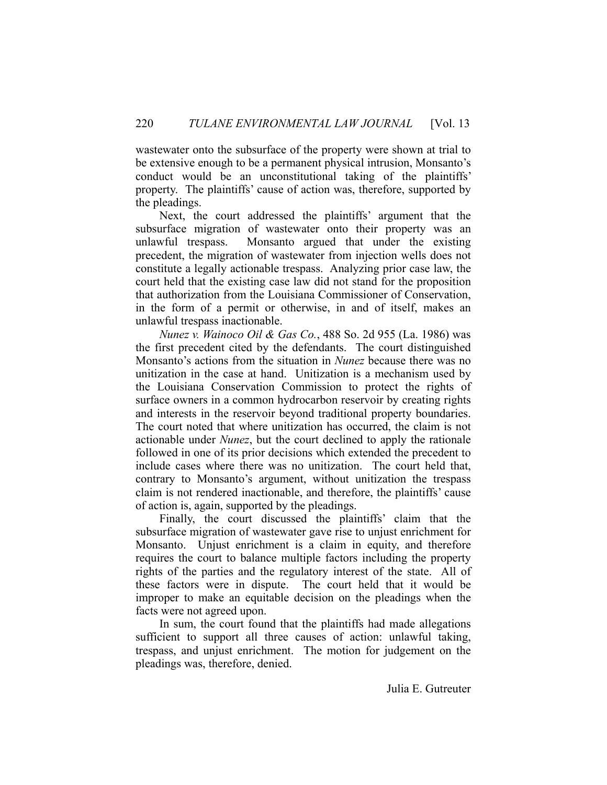wastewater onto the subsurface of the property were shown at trial to be extensive enough to be a permanent physical intrusion, Monsanto's conduct would be an unconstitutional taking of the plaintiffs' property. The plaintiffs' cause of action was, therefore, supported by the pleadings.

 Next, the court addressed the plaintiffs' argument that the subsurface migration of wastewater onto their property was an unlawful trespass. Monsanto argued that under the existing precedent, the migration of wastewater from injection wells does not constitute a legally actionable trespass. Analyzing prior case law, the court held that the existing case law did not stand for the proposition that authorization from the Louisiana Commissioner of Conservation, in the form of a permit or otherwise, in and of itself, makes an unlawful trespass inactionable.

*Nunez v. Wainoco Oil & Gas Co.*, 488 So. 2d 955 (La. 1986) was the first precedent cited by the defendants. The court distinguished Monsanto's actions from the situation in *Nunez* because there was no unitization in the case at hand. Unitization is a mechanism used by the Louisiana Conservation Commission to protect the rights of surface owners in a common hydrocarbon reservoir by creating rights and interests in the reservoir beyond traditional property boundaries. The court noted that where unitization has occurred, the claim is not actionable under *Nunez*, but the court declined to apply the rationale followed in one of its prior decisions which extended the precedent to include cases where there was no unitization. The court held that, contrary to Monsanto's argument, without unitization the trespass claim is not rendered inactionable, and therefore, the plaintiffs' cause of action is, again, supported by the pleadings.

 Finally, the court discussed the plaintiffs' claim that the subsurface migration of wastewater gave rise to unjust enrichment for Monsanto. Unjust enrichment is a claim in equity, and therefore requires the court to balance multiple factors including the property rights of the parties and the regulatory interest of the state. All of these factors were in dispute. The court held that it would be improper to make an equitable decision on the pleadings when the facts were not agreed upon.

 In sum, the court found that the plaintiffs had made allegations sufficient to support all three causes of action: unlawful taking, trespass, and unjust enrichment. The motion for judgement on the pleadings was, therefore, denied.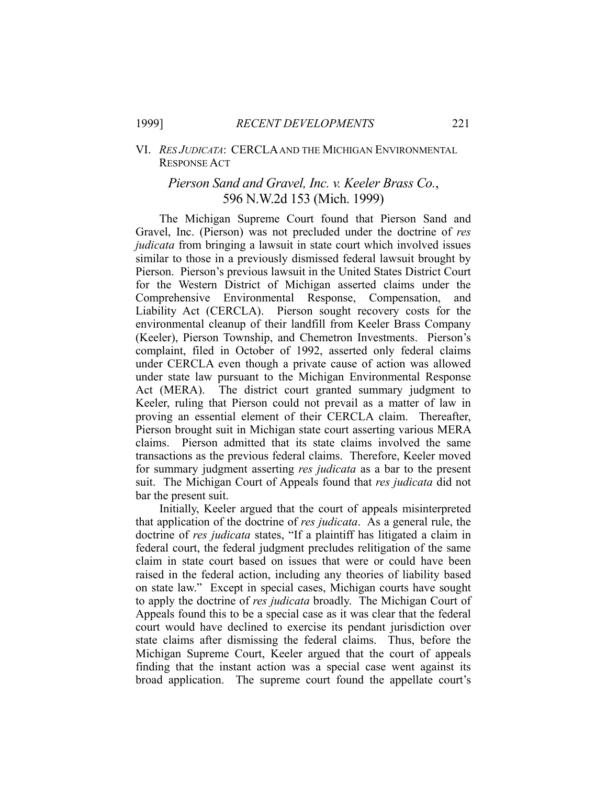### VI. *RES JUDICATA*: CERCLA AND THE MICHIGAN ENVIRONMENTAL RESPONSE ACT

### *Pierson Sand and Gravel, Inc. v. Keeler Brass Co.*, 596 N.W.2d 153 (Mich. 1999)

 The Michigan Supreme Court found that Pierson Sand and Gravel, Inc. (Pierson) was not precluded under the doctrine of *res judicata* from bringing a lawsuit in state court which involved issues similar to those in a previously dismissed federal lawsuit brought by Pierson. Pierson's previous lawsuit in the United States District Court for the Western District of Michigan asserted claims under the Comprehensive Environmental Response, Compensation, and Liability Act (CERCLA). Pierson sought recovery costs for the environmental cleanup of their landfill from Keeler Brass Company (Keeler), Pierson Township, and Chemetron Investments. Pierson's complaint, filed in October of 1992, asserted only federal claims under CERCLA even though a private cause of action was allowed under state law pursuant to the Michigan Environmental Response Act (MERA). The district court granted summary judgment to Keeler, ruling that Pierson could not prevail as a matter of law in proving an essential element of their CERCLA claim. Thereafter, Pierson brought suit in Michigan state court asserting various MERA claims. Pierson admitted that its state claims involved the same transactions as the previous federal claims. Therefore, Keeler moved for summary judgment asserting *res judicata* as a bar to the present suit. The Michigan Court of Appeals found that *res judicata* did not bar the present suit.

 Initially, Keeler argued that the court of appeals misinterpreted that application of the doctrine of *res judicata*. As a general rule, the doctrine of *res judicata* states, "If a plaintiff has litigated a claim in federal court, the federal judgment precludes relitigation of the same claim in state court based on issues that were or could have been raised in the federal action, including any theories of liability based on state law." Except in special cases, Michigan courts have sought to apply the doctrine of *res judicata* broadly. The Michigan Court of Appeals found this to be a special case as it was clear that the federal court would have declined to exercise its pendant jurisdiction over state claims after dismissing the federal claims. Thus, before the Michigan Supreme Court, Keeler argued that the court of appeals finding that the instant action was a special case went against its broad application. The supreme court found the appellate court's